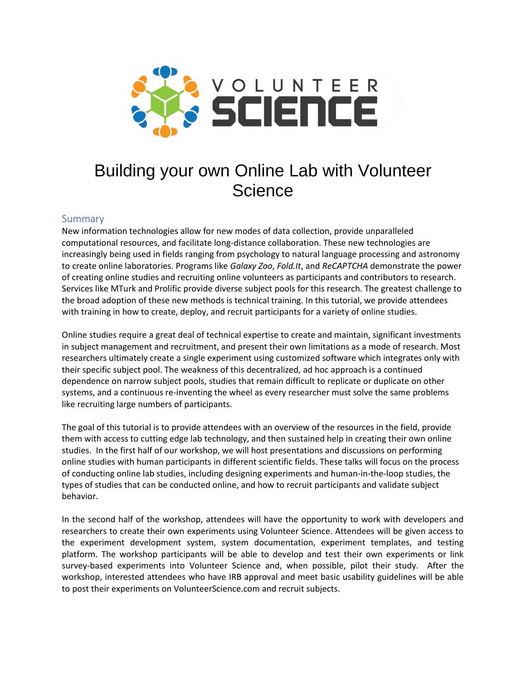

# Building your own Online Lab with Volunteer **Science**

## Summary

New information technologies allow for new modes of data collection, provide unparalleled computational resources, and facilitate long-distance collaboration. These new technologies are increasingly being used in fields ranging from psychology to natural language processing and astronomy to create online laboratories. Programs like *Galaxy Zoo*, *Fold.It*, and *ReCAPTCHA* demonstrate the power of creating online studies and recruiting online volunteers as participants and contributors to research. Services like MTurk and Prolific provide diverse subject pools for this research. The greatest challenge to the broad adoption of these new methods is technical training. In this tutorial, we provide attendees with training in how to create, deploy, and recruit participants for a variety of online studies.

Online studies require a great deal of technical expertise to create and maintain, significant investments in subject management and recruitment, and present their own limitations as a mode of research. Most researchers ultimately create a single experiment using customized software which integrates only with their specific subject pool. The weakness of this decentralized, ad hoc approach is a continued dependence on narrow subject pools, studies that remain difficult to replicate or duplicate on other systems, and a continuous re-inventing the wheel as every researcher must solve the same problems like recruiting large numbers of participants.

The goal of this tutorial is to provide attendees with an overview of the resources in the field, provide them with access to cutting edge lab technology, and then sustained help in creating their own online studies. In the first half of our workshop, we will host presentations and discussions on performing online studies with human participants in different scientific fields. These talks will focus on the process of conducting online lab studies, including designing experiments and human-in-the-loop studies, the types of studies that can be conducted online, and how to recruit participants and validate subject behavior.

In the second half of the workshop, attendees will have the opportunity to work with developers and researchers to create their own experiments using Volunteer Science. Attendees will be given access to the experiment development system, system documentation, experiment templates, and testing platform. The workshop participants will be able to develop and test their own experiments or link survey-based experiments into Volunteer Science and, when possible, pilot their study. After the workshop, interested attendees who have IRB approval and meet basic usability guidelines will be able to post their experiments on VolunteerScience.com and recruit subjects.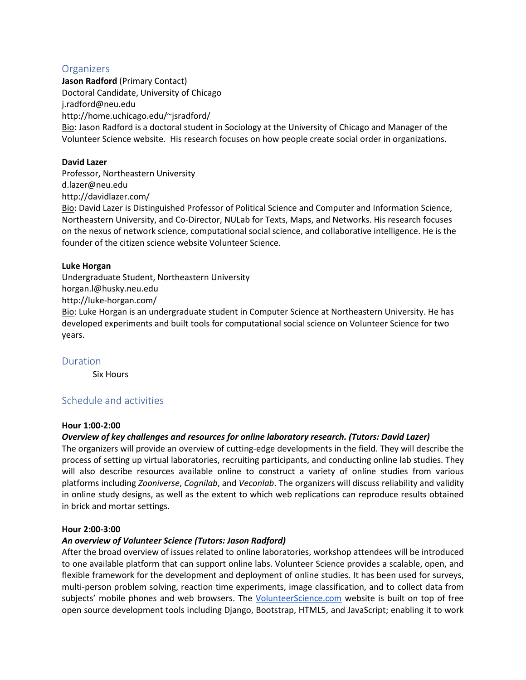## **Organizers**

**Jason Radford** (Primary Contact) Doctoral Candidate, University of Chicago j.radford@neu.edu http://home.uchicago.edu/~jsradford/ Bio: Jason Radford is a doctoral student in Sociology at the University of Chicago and Manager of the Volunteer Science website. His research focuses on how people create social order in organizations.

### **David Lazer**

Professor, Northeastern University d.lazer@neu.edu http://davidlazer.com/ Bio: David Lazer is Distinguished Professor of Political Science and Computer and Information Science, Northeastern University, and Co-Director, NULab for Texts, Maps, and Networks. His research focuses on the nexus of network science, computational social science, and collaborative intelligence. He is the founder of the citizen science website Volunteer Science.

#### **Luke Horgan**

Undergraduate Student, Northeastern University horgan.l@husky.neu.edu http://luke-horgan.com/ Bio: Luke Horgan is an undergraduate student in Computer Science at Northeastern University. He has developed experiments and built tools for computational social science on Volunteer Science for two years.

#### Duration

Six Hours

# Schedule and activities

#### **Hour 1:00-2:00**

#### *Overview of key challenges and resources for online laboratory research. (Tutors: David Lazer)*

The organizers will provide an overview of cutting-edge developments in the field. They will describe the process of setting up virtual laboratories, recruiting participants, and conducting online lab studies. They will also describe resources available online to construct a variety of online studies from various platforms including *Zooniverse*, *Cognilab*, and *Veconlab*. The organizers will discuss reliability and validity in online study designs, as well as the extent to which web replications can reproduce results obtained in brick and mortar settings.

#### **Hour 2:00-3:00**

#### *An overview of Volunteer Science (Tutors: Jason Radford)*

After the broad overview of issues related to online laboratories, workshop attendees will be introduced to one available platform that can support online labs. Volunteer Science provides a scalable, open, and flexible framework for the development and deployment of online studies. It has been used for surveys, multi-person problem solving, reaction time experiments, image classification, and to collect data from subjects' mobile phones and web browsers. The [VolunteerScience.com](http://volunteerscience.com/) website is built on top of free open source development tools including Django, Bootstrap, HTML5, and JavaScript; enabling it to work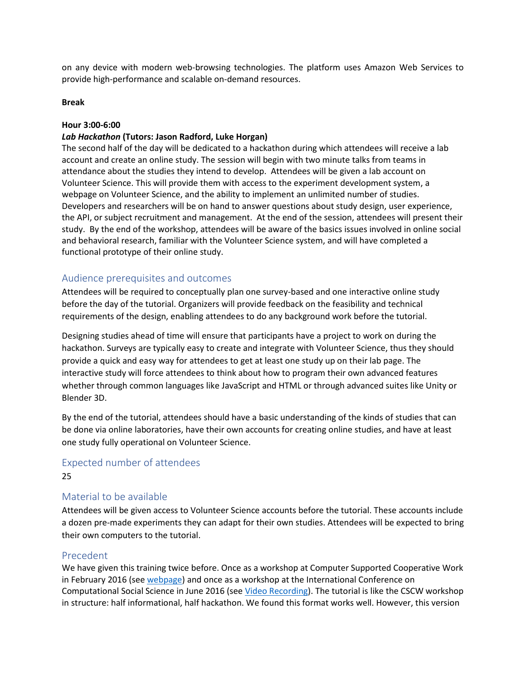on any device with modern web-browsing technologies. The platform uses Amazon Web Services to provide high-performance and scalable on-demand resources.

#### **Break**

#### **Hour 3:00-6:00**

#### *Lab Hackathon* **(Tutors: Jason Radford, Luke Horgan)**

The second half of the day will be dedicated to a hackathon during which attendees will receive a lab account and create an online study. The session will begin with two minute talks from teams in attendance about the studies they intend to develop. Attendees will be given a lab account on Volunteer Science. This will provide them with access to the experiment development system, a webpage on Volunteer Science, and the ability to implement an unlimited number of studies. Developers and researchers will be on hand to answer questions about study design, user experience, the API, or subject recruitment and management. At the end of the session, attendees will present their study. By the end of the workshop, attendees will be aware of the basics issues involved in online social and behavioral research, familiar with the Volunteer Science system, and will have completed a functional prototype of their online study.

## Audience prerequisites and outcomes

Attendees will be required to conceptually plan one survey-based and one interactive online study before the day of the tutorial. Organizers will provide feedback on the feasibility and technical requirements of the design, enabling attendees to do any background work before the tutorial.

Designing studies ahead of time will ensure that participants have a project to work on during the hackathon. Surveys are typically easy to create and integrate with Volunteer Science, thus they should provide a quick and easy way for attendees to get at least one study up on their lab page. The interactive study will force attendees to think about how to program their own advanced features whether through common languages like JavaScript and HTML or through advanced suites like Unity or Blender 3D.

By the end of the tutorial, attendees should have a basic understanding of the kinds of studies that can be done via online laboratories, have their own accounts for creating online studies, and have at least one study fully operational on Volunteer Science.

# Expected number of attendees 25

### Material to be available

Attendees will be given access to Volunteer Science accounts before the tutorial. These accounts include a dozen pre-made experiments they can adapt for their own studies. Attendees will be expected to bring their own computers to the tutorial.

#### Precedent

We have given this training twice before. Once as a workshop at Computer Supported Cooperative Work in February 2016 (see [webpage\)](https://volunteerscience.com/workshop/) and once as a workshop at the International Conference on Computational Social Science in June 2016 (see [Video Recording\)](https://mediasite.kellogg.northwestern.edu/Mediasite/Play/1fef33f920ff44cd91f741889404bb701d?catalog=1533bdef-0c88-4513-ad97-5fce50c92e62). The tutorial is like the CSCW workshop in structure: half informational, half hackathon. We found this format works well. However, this version